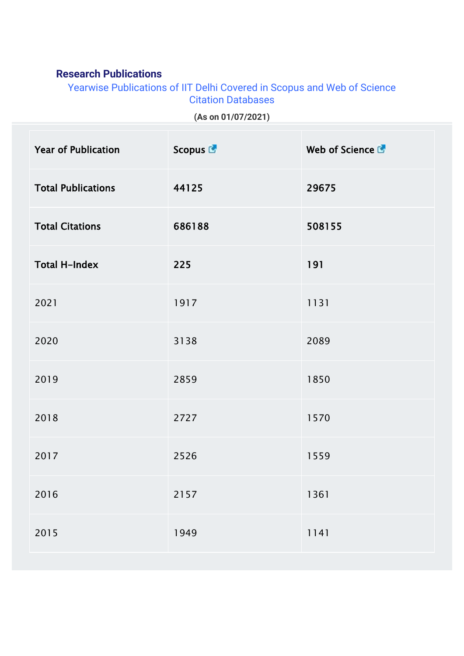## **Research Publications**

Yearwise Publications of IIT Delhi Covered in Scopus and Web of Science Citation Databases

|  | (As on 01/07/2021) |
|--|--------------------|
|--|--------------------|

| <b>Year of Publication</b> | Scopus <sup>C</sup> | Web of Science C |
|----------------------------|---------------------|------------------|
| <b>Total Publications</b>  | 44125               | 29675            |
| <b>Total Citations</b>     | 686188              | 508155           |
| <b>Total H-Index</b>       | 225                 | 191              |
| 2021                       | 1917                | 1131             |
| 2020                       | 3138                | 2089             |
| 2019                       | 2859                | 1850             |
| 2018                       | 2727                | 1570             |
| 2017                       | 2526                | 1559             |
| 2016                       | 2157                | 1361             |
| 2015                       | 1949                | 1141             |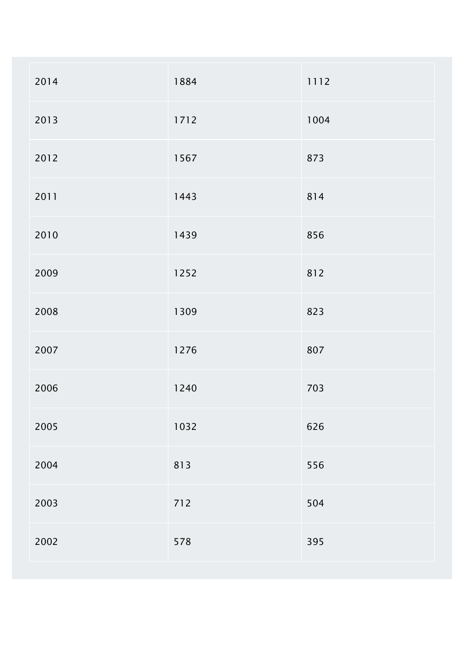| 2014 | 1884 | 1112 |
|------|------|------|
| 2013 | 1712 | 1004 |
| 2012 | 1567 | 873  |
| 2011 | 1443 | 814  |
| 2010 | 1439 | 856  |
| 2009 | 1252 | 812  |
| 2008 | 1309 | 823  |
| 2007 | 1276 | 807  |
| 2006 | 1240 | 703  |
| 2005 | 1032 | 626  |
| 2004 | 813  | 556  |
| 2003 | 712  | 504  |
| 2002 | 578  | 395  |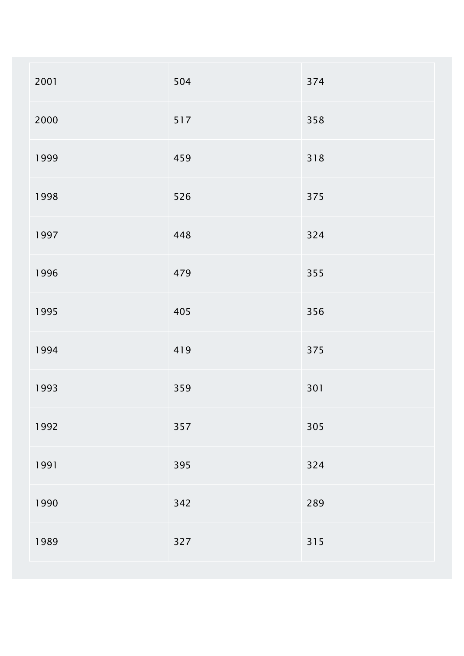| 2001 | 504 | 374 |
|------|-----|-----|
| 2000 | 517 | 358 |
| 1999 | 459 | 318 |
| 1998 | 526 | 375 |
| 1997 | 448 | 324 |
| 1996 | 479 | 355 |
| 1995 | 405 | 356 |
| 1994 | 419 | 375 |
| 1993 | 359 | 301 |
| 1992 | 357 | 305 |
| 1991 | 395 | 324 |
| 1990 | 342 | 289 |
| 1989 | 327 | 315 |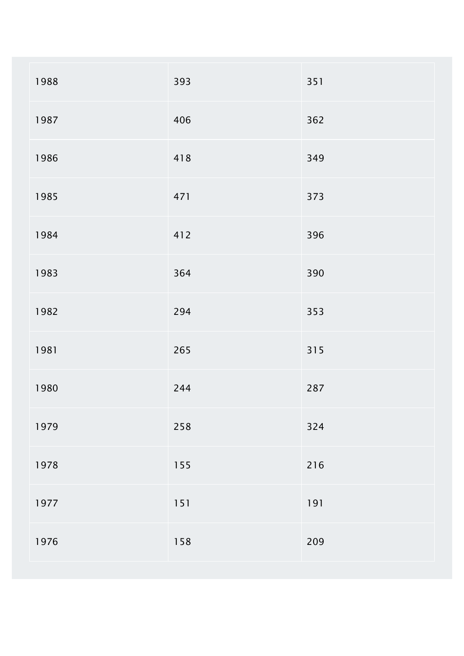| 1988 | 393   | 351 |
|------|-------|-----|
| 1987 | 406   | 362 |
| 1986 | 418   | 349 |
| 1985 | 471   | 373 |
| 1984 | 412   | 396 |
| 1983 | 364   | 390 |
| 1982 | 294   | 353 |
| 1981 | 265   | 315 |
| 1980 | 244   | 287 |
| 1979 | 258   | 324 |
| 1978 | 155   | 216 |
| 1977 | $151$ | 191 |
| 1976 | 158   | 209 |